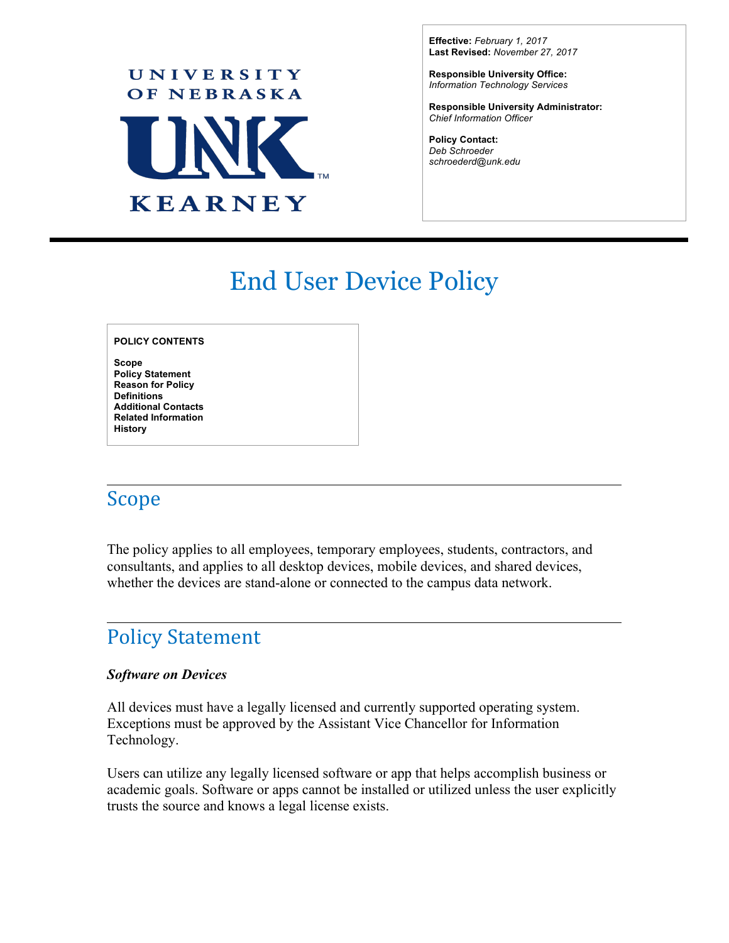

**Effective:** *February 1, 2017* **Last Revised:** *November 27, 2017*

**Responsible University Office:** *Information Technology Services*

**Responsible University Administrator:** *Chief Information Officer*

 $\overline{a}$ 

**Policy Contact:** *Deb Schroeder [schroederd@unk.edu](mailto:schroederd@unk.edu)*

# End User Device Policy

#### **POLICY CONTENTS**

**Scope Policy Statement Reason for Policy Definitions Additional Contacts Related Information History**

### Scope

The policy applies to all employees, temporary employees, students, contractors, and consultants, and applies to all desktop devices, mobile devices, and shared devices, whether the devices are stand-alone or connected to the campus data network.

### Policy Statement

#### *Software on Devices*

All devices must have a legally licensed and currently supported operating system. Exceptions must be approved by the Assistant Vice Chancellor for Information Technology.

Users can utilize any legally licensed software or app that helps accomplish business or academic goals. Software or apps cannot be installed or utilized unless the user explicitly trusts the source and knows a legal license exists.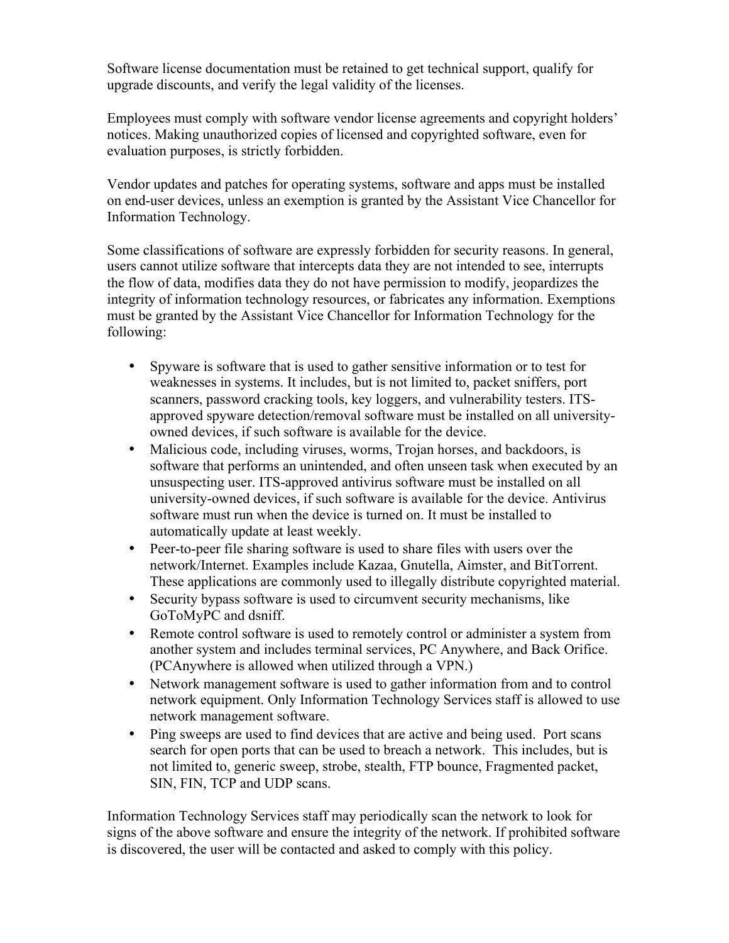Software license documentation must be retained to get technical support, qualify for upgrade discounts, and verify the legal validity of the licenses.

Employees must comply with software vendor license agreements and copyright holders' notices. Making unauthorized copies of licensed and copyrighted software, even for evaluation purposes, is strictly forbidden.

Vendor updates and patches for operating systems, software and apps must be installed on end-user devices, unless an exemption is granted by the Assistant Vice Chancellor for Information Technology.

Some classifications of software are expressly forbidden for security reasons. In general, users cannot utilize software that intercepts data they are not intended to see, interrupts the flow of data, modifies data they do not have permission to modify, jeopardizes the integrity of information technology resources, or fabricates any information. Exemptions must be granted by the Assistant Vice Chancellor for Information Technology for the following:

- Spyware is software that is used to gather sensitive information or to test for weaknesses in systems. It includes, but is not limited to, packet sniffers, port scanners, password cracking tools, key loggers, and vulnerability testers. ITSapproved spyware detection/removal software must be installed on all universityowned devices, if such software is available for the device.
- Malicious code, including viruses, worms, Trojan horses, and backdoors, is software that performs an unintended, and often unseen task when executed by an unsuspecting user. ITS-approved antivirus software must be installed on all university-owned devices, if such software is available for the device. Antivirus software must run when the device is turned on. It must be installed to automatically update at least weekly.
- Peer-to-peer file sharing software is used to share files with users over the network/Internet. Examples include Kazaa, Gnutella, Aimster, and BitTorrent. These applications are commonly used to illegally distribute copyrighted material.
- Security bypass software is used to circumvent security mechanisms, like GoToMyPC and dsniff.
- Remote control software is used to remotely control or administer a system from another system and includes terminal services, PC Anywhere, and Back Orifice. (PCAnywhere is allowed when utilized through a VPN.)
- Network management software is used to gather information from and to control network equipment. Only Information Technology Services staff is allowed to use network management software.
- Ping sweeps are used to find devices that are active and being used. Port scans search for open ports that can be used to breach a network. This includes, but is not limited to, generic sweep, strobe, stealth, FTP bounce, Fragmented packet, SIN, FIN, TCP and UDP scans.

Information Technology Services staff may periodically scan the network to look for signs of the above software and ensure the integrity of the network. If prohibited software is discovered, the user will be contacted and asked to comply with this policy.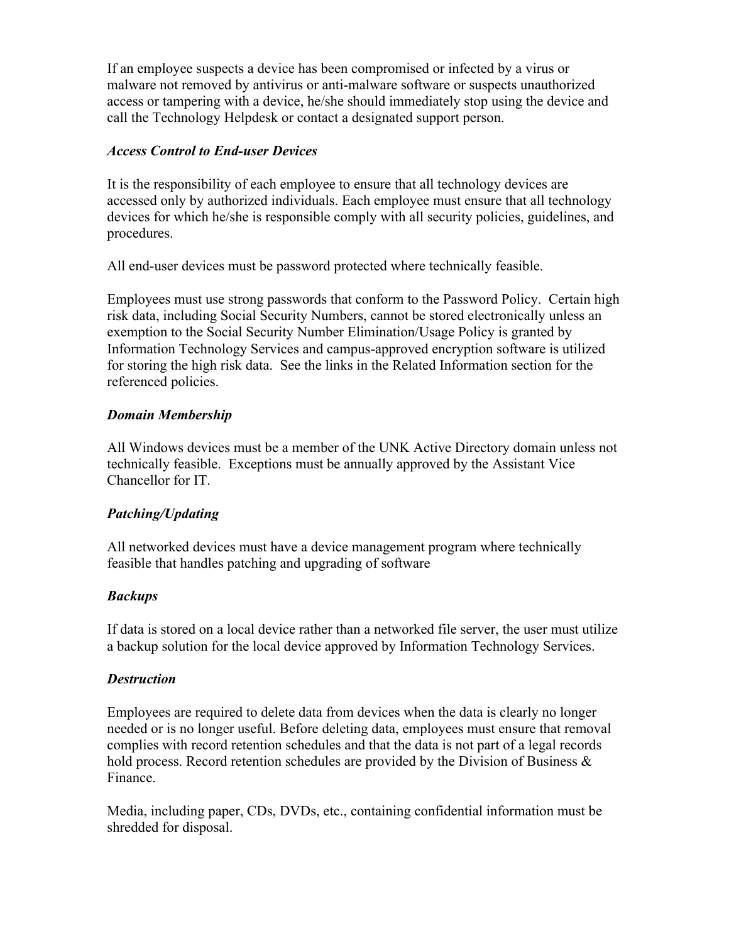If an employee suspects a device has been compromised or infected by a virus or malware not removed by antivirus or anti-malware software or suspects unauthorized access or tampering with a device, he/she should immediately stop using the device and call the Technology Helpdesk or contact a designated support person.

#### *Access Control to End-user Devices*

It is the responsibility of each employee to ensure that all technology devices are accessed only by authorized individuals. Each employee must ensure that all technology devices for which he/she is responsible comply with all security policies, guidelines, and procedures.

All end-user devices must be password protected where technically feasible.

Employees must use strong passwords that conform to the Password Policy. Certain high risk data, including Social Security Numbers, cannot be stored electronically unless an exemption to the Social Security Number Elimination/Usage Policy is granted by Information Technology Services and campus-approved encryption software is utilized for storing the high risk data. See the links in the Related Information section for the referenced policies.

#### *Domain Membership*

All Windows devices must be a member of the UNK Active Directory domain unless not technically feasible. Exceptions must be annually approved by the Assistant Vice Chancellor for IT.

### *Patching/Updating*

All networked devices must have a device management program where technically feasible that handles patching and upgrading of software

#### *Backups*

If data is stored on a local device rather than a networked file server, the user must utilize a backup solution for the local device approved by Information Technology Services.

#### *Destruction*

Employees are required to delete data from devices when the data is clearly no longer needed or is no longer useful. Before deleting data, employees must ensure that removal complies with record retention schedules and that the data is not part of a legal records hold process. Record retention schedules are provided by the Division of Business  $\&$ Finance.

Media, including paper, CDs, DVDs, etc., containing confidential information must be shredded for disposal.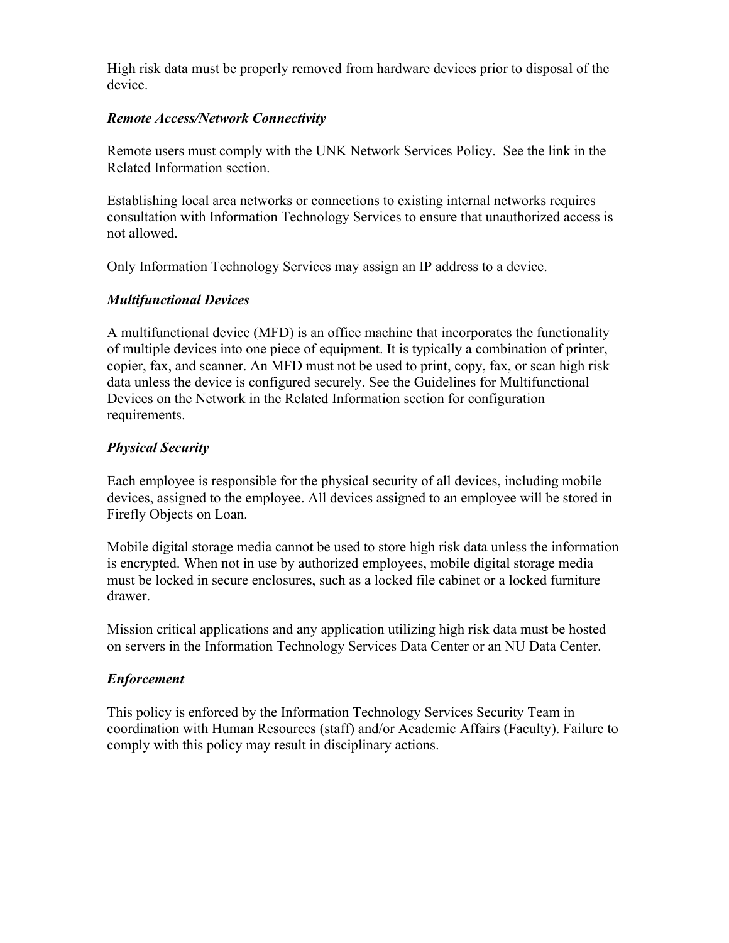High risk data must be properly removed from hardware devices prior to disposal of the device.

#### *Remote Access/Network Connectivity*

Remote users must comply with the UNK Network Services Policy. See the link in the Related Information section.

Establishing local area networks or connections to existing internal networks requires consultation with Information Technology Services to ensure that unauthorized access is not allowed.

Only Information Technology Services may assign an IP address to a device.

#### *Multifunctional Devices*

A multifunctional device (MFD) is an office machine that incorporates the functionality of multiple devices into one piece of equipment. It is typically a combination of printer, copier, fax, and scanner. An MFD must not be used to print, copy, fax, or scan high risk data unless the device is configured securely. See the Guidelines for Multifunctional Devices on the Network in the Related Information section for configuration requirements.

#### *Physical Security*

Each employee is responsible for the physical security of all devices, including mobile devices, assigned to the employee. All devices assigned to an employee will be stored in Firefly Objects on Loan.

Mobile digital storage media cannot be used to store high risk data unless the information is encrypted. When not in use by authorized employees, mobile digital storage media must be locked in secure enclosures, such as a locked file cabinet or a locked furniture drawer.

Mission critical applications and any application utilizing high risk data must be hosted on servers in the Information Technology Services Data Center or an NU Data Center.

#### *Enforcement*

This policy is enforced by the Information Technology Services Security Team in coordination with Human Resources (staff) and/or Academic Affairs (Faculty). Failure to comply with this policy may result in disciplinary actions.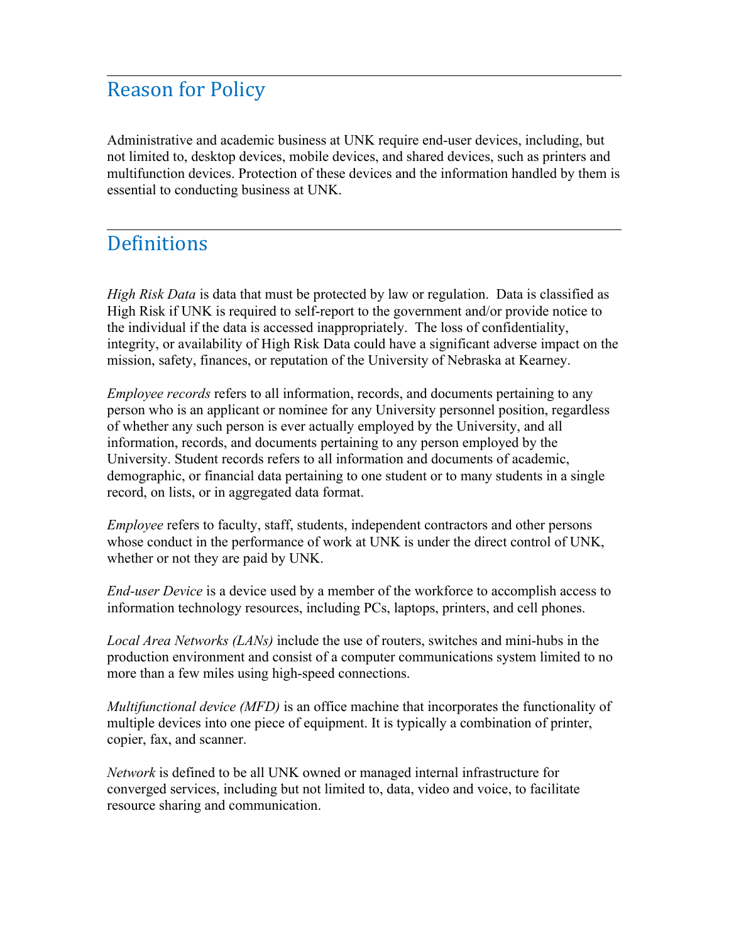### **Reason for Policy**

Administrative and academic business at UNK require end-user devices, including, but not limited to, desktop devices, mobile devices, and shared devices, such as printers and multifunction devices. Protection of these devices and the information handled by them is essential to conducting business at UNK.

### Definitions

*High Risk Data* is data that must be protected by law or regulation. Data is classified as High Risk if UNK is required to self-report to the government and/or provide notice to the individual if the data is accessed inappropriately. The loss of confidentiality, integrity, or availability of High Risk Data could have a significant adverse impact on the mission, safety, finances, or reputation of the University of Nebraska at Kearney.

*Employee records* refers to all information, records, and documents pertaining to any person who is an applicant or nominee for any University personnel position, regardless of whether any such person is ever actually employed by the University, and all information, records, and documents pertaining to any person employed by the University. Student records refers to all information and documents of academic, demographic, or financial data pertaining to one student or to many students in a single record, on lists, or in aggregated data format.

*Employee* refers to faculty, staff, students, independent contractors and other persons whose conduct in the performance of work at UNK is under the direct control of UNK, whether or not they are paid by UNK.

*End-user Device* is a device used by a member of the workforce to accomplish access to information technology resources, including PCs, laptops, printers, and cell phones.

*Local Area Networks (LANs)* include the use of routers, switches and mini-hubs in the production environment and consist of a computer communications system limited to no more than a few miles using high-speed connections.

*Multifunctional device (MFD)* is an office machine that incorporates the functionality of multiple devices into one piece of equipment. It is typically a combination of printer, copier, fax, and scanner.

*Network* is defined to be all UNK owned or managed internal infrastructure for converged services, including but not limited to, data, video and voice, to facilitate resource sharing and communication.